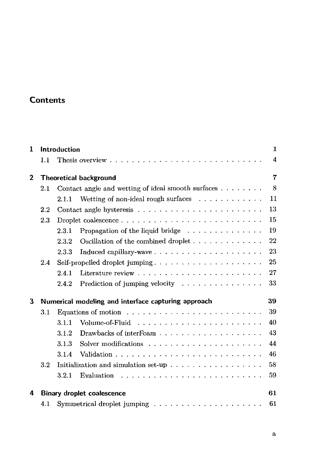## **Contents**

| 1              | Introduction                                              |                                                                                                                  |    |  |  |  |
|----------------|-----------------------------------------------------------|------------------------------------------------------------------------------------------------------------------|----|--|--|--|
|                | 1.1                                                       | Thesis overview $\ldots$ , $\ldots$ , $\ldots$ , $\ldots$ , $\ldots$ , $\ldots$ , $\ldots$ , $\ldots$ , $\ldots$ | 4  |  |  |  |
| $\overline{2}$ |                                                           | <b>Theoretical background</b>                                                                                    | 7  |  |  |  |
|                | 2.1                                                       | Contact angle and wetting of ideal smooth surfaces $\dots \dots$                                                 | 8  |  |  |  |
|                |                                                           | Wetting of non-ideal rough surfaces $\ldots \ldots \ldots \ldots$<br>2.1.1                                       | 11 |  |  |  |
|                | $2.2\,$                                                   |                                                                                                                  | 13 |  |  |  |
|                | 2.3                                                       | Droplet coalescence $\ldots \ldots \ldots \ldots \ldots \ldots \ldots \ldots$                                    | 15 |  |  |  |
|                |                                                           | Propagation of the liquid bridge<br>2.3.1                                                                        | 19 |  |  |  |
|                |                                                           | Oscillation of the combined droplet $\dots \dots \dots \dots$<br>2.3.2                                           | 22 |  |  |  |
|                |                                                           | 2.3.3                                                                                                            | 23 |  |  |  |
|                | 2.4                                                       | Self-propelled droplet jumping                                                                                   | 25 |  |  |  |
|                |                                                           | 2.4.1                                                                                                            | 27 |  |  |  |
|                |                                                           | Prediction of jumping velocity<br>2.4.2                                                                          | 33 |  |  |  |
| 3              | 39<br>Numerical modeling and interface capturing approach |                                                                                                                  |    |  |  |  |
|                | 3.1                                                       | Equations of motion $\ldots \ldots \ldots \ldots \ldots \ldots \ldots \ldots$                                    | 39 |  |  |  |
|                |                                                           | Volume-of-Fluid $\ldots \ldots \ldots \ldots \ldots$<br>3.1.1                                                    | 40 |  |  |  |
|                |                                                           | 3.1.2<br>Drawbacks of interFoam $\ldots \ldots \ldots \ldots \ldots \ldots$                                      | 43 |  |  |  |
|                |                                                           | 3.1.3                                                                                                            | 44 |  |  |  |
|                |                                                           | 3.1.4                                                                                                            | 46 |  |  |  |
|                | 3.2                                                       | Initialization and simulation set-up $\ldots \ldots \ldots \ldots \ldots$                                        | 58 |  |  |  |
|                |                                                           | 3.2.1                                                                                                            | 59 |  |  |  |
| 4              |                                                           | <b>Binary droplet coalescence</b>                                                                                | 61 |  |  |  |
|                | 4.1                                                       | Symmetrical droplet jumping $\ldots \ldots \ldots \ldots \ldots \ldots$                                          | 61 |  |  |  |